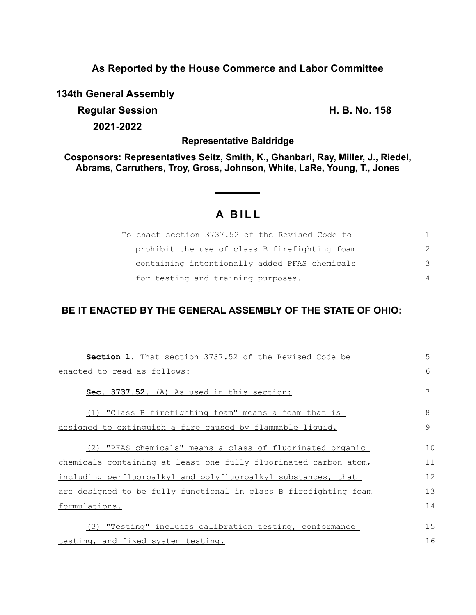## **As Reported by the House Commerce and Labor Committee**

**134th General Assembly**

**Regular Session H. B. No. 158 2021-2022**

**Representative Baldridge**

**Cosponsors: Representatives Seitz, Smith, K., Ghanbari, Ray, Miller, J., Riedel, Abrams, Carruthers, Troy, Gross, Johnson, White, LaRe, Young, T., Jones**

## **A B I L L**

| To enact section 3737.52 of the Revised Code to |               |
|-------------------------------------------------|---------------|
| prohibit the use of class B firefighting foam   | $\mathcal{P}$ |
| containing intentionally added PFAS chemicals   | $\mathcal{B}$ |
| for testing and training purposes.              | 4             |

## **BE IT ENACTED BY THE GENERAL ASSEMBLY OF THE STATE OF OHIO:**

| <b>Section 1.</b> That section 3737.52 of the Revised Code be    | 5  |
|------------------------------------------------------------------|----|
| enacted to read as follows:                                      | 6  |
| Sec. 3737.52. (A) As used in this section:                       |    |
| (1) "Class B firefighting foam" means a foam that is             | 8  |
| designed to extinguish a fire caused by flammable liquid.        | 9  |
| (2) "PFAS chemicals" means a class of fluorinated organic        | 10 |
| chemicals containing at least one fully fluorinated carbon atom, | 11 |
| including perfluoroalkyl and polyfluoroalkyl substances, that    | 12 |
| are designed to be fully functional in class B firefighting foam | 13 |
| formulations.                                                    | 14 |
|                                                                  |    |
| (3) "Testing" includes calibration testing, conformance          | 15 |
| testing, and fixed system testing.                               | 16 |